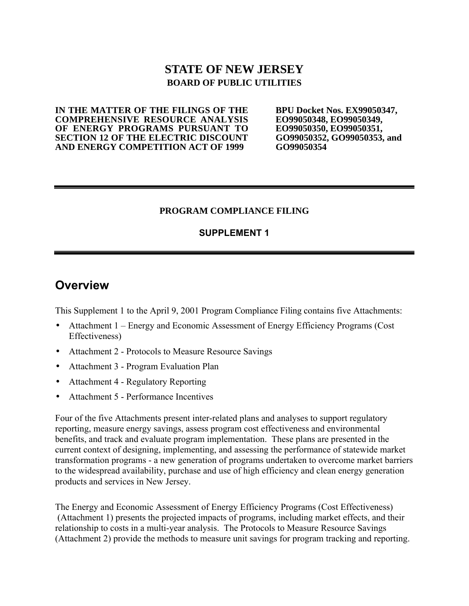## **STATE OF NEW JERSEY BOARD OF PUBLIC UTILITIES**

**IN THE MATTER OF THE FILINGS OF THE COMPREHENSIVE RESOURCE ANALYSIS OF ENERGY PROGRAMS PURSUANT TO SECTION 12 OF THE ELECTRIC DISCOUNT AND ENERGY COMPETITION ACT OF 1999**

**BPU Docket Nos. EX99050347, EO99050348, EO99050349, EO99050350, EO99050351, GO99050352, GO99050353, and GO99050354**

#### **PROGRAM COMPLIANCE FILING**

### **SUPPLEMENT 1**

## **Overview**

This Supplement 1 to the April 9, 2001 Program Compliance Filing contains five Attachments:

- Attachment 1 Energy and Economic Assessment of Energy Efficiency Programs (Cost Effectiveness)
- Attachment 2 Protocols to Measure Resource Savings
- Attachment 3 Program Evaluation Plan
- Attachment 4 Regulatory Reporting
- Attachment 5 Performance Incentives

Four of the five Attachments present inter-related plans and analyses to support regulatory reporting, measure energy savings, assess program cost effectiveness and environmental benefits, and track and evaluate program implementation. These plans are presented in the current context of designing, implementing, and assessing the performance of statewide market transformation programs - a new generation of programs undertaken to overcome market barriers to the widespread availability, purchase and use of high efficiency and clean energy generation products and services in New Jersey.

The Energy and Economic Assessment of Energy Efficiency Programs (Cost Effectiveness) (Attachment 1) presents the projected impacts of programs, including market effects, and their relationship to costs in a multi-year analysis. The Protocols to Measure Resource Savings (Attachment 2) provide the methods to measure unit savings for program tracking and reporting.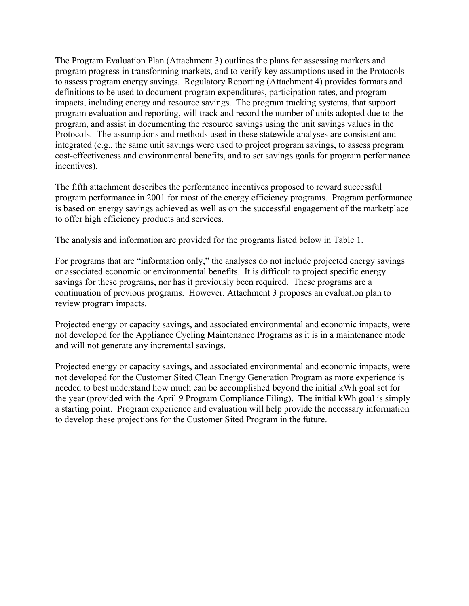The Program Evaluation Plan (Attachment 3) outlines the plans for assessing markets and program progress in transforming markets, and to verify key assumptions used in the Protocols to assess program energy savings. Regulatory Reporting (Attachment 4) provides formats and definitions to be used to document program expenditures, participation rates, and program impacts, including energy and resource savings. The program tracking systems, that support program evaluation and reporting, will track and record the number of units adopted due to the program, and assist in documenting the resource savings using the unit savings values in the Protocols. The assumptions and methods used in these statewide analyses are consistent and integrated (e.g., the same unit savings were used to project program savings, to assess program cost-effectiveness and environmental benefits, and to set savings goals for program performance incentives).

The fifth attachment describes the performance incentives proposed to reward successful program performance in 2001 for most of the energy efficiency programs. Program performance is based on energy savings achieved as well as on the successful engagement of the marketplace to offer high efficiency products and services.

The analysis and information are provided for the programs listed below in Table 1.

For programs that are "information only," the analyses do not include projected energy savings or associated economic or environmental benefits. It is difficult to project specific energy savings for these programs, nor has it previously been required. These programs are a continuation of previous programs. However, Attachment 3 proposes an evaluation plan to review program impacts.

Projected energy or capacity savings, and associated environmental and economic impacts, were not developed for the Appliance Cycling Maintenance Programs as it is in a maintenance mode and will not generate any incremental savings.

Projected energy or capacity savings, and associated environmental and economic impacts, were not developed for the Customer Sited Clean Energy Generation Program as more experience is needed to best understand how much can be accomplished beyond the initial kWh goal set for the year (provided with the April 9 Program Compliance Filing). The initial kWh goal is simply a starting point. Program experience and evaluation will help provide the necessary information to develop these projections for the Customer Sited Program in the future.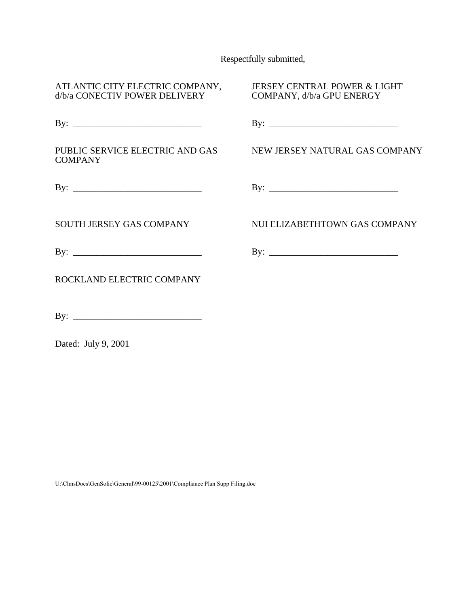Respectfully submitted,

| ATLANTIC CITY ELECTRIC COMPANY,<br>d/b/a CONECTIV POWER DELIVERY | <b>JERSEY CENTRAL POWER &amp; LIGHT</b><br>COMPANY, d/b/a GPU ENERGY |  |  |  |
|------------------------------------------------------------------|----------------------------------------------------------------------|--|--|--|
|                                                                  |                                                                      |  |  |  |
| PUBLIC SERVICE ELECTRIC AND GAS<br><b>COMPANY</b>                | NEW JERSEY NATURAL GAS COMPANY                                       |  |  |  |
|                                                                  |                                                                      |  |  |  |
| SOUTH JERSEY GAS COMPANY                                         | NUI ELIZABETHTOWN GAS COMPANY                                        |  |  |  |
|                                                                  |                                                                      |  |  |  |
| ROCKLAND ELECTRIC COMPANY                                        |                                                                      |  |  |  |
|                                                                  |                                                                      |  |  |  |

Dated: July 9, 2001

U:\ClmsDocs\GenSolic\General\99-00125\2001\Compliance Plan Supp Filing.doc